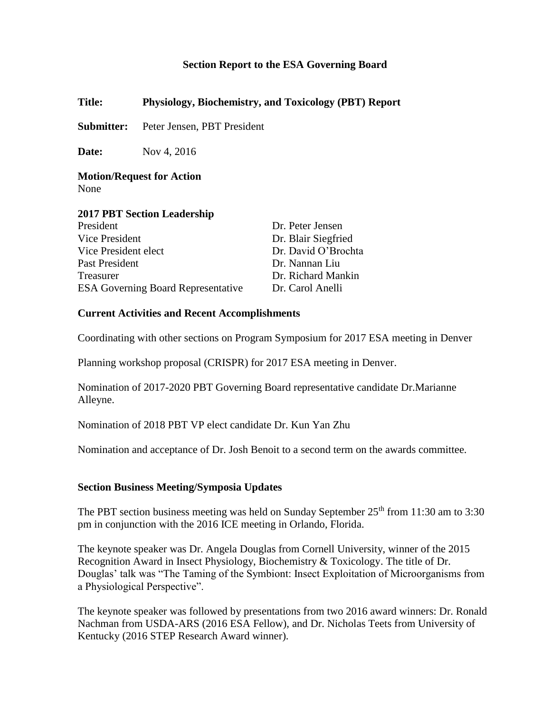### **Section Report to the ESA Governing Board**

**Title: Physiology, Biochemistry, and Toxicology (PBT) Report**

**Submitter:** Peter Jensen, PBT President

**Date:** Nov 4, 2016

**Motion/Request for Action** None

#### **2017 PBT Section Leadership**

| President                                 | Dr. Peter Jensen    |
|-------------------------------------------|---------------------|
| Vice President                            | Dr. Blair Siegfried |
| Vice President elect                      | Dr. David O'Brochta |
| Past President                            | Dr. Nannan Liu      |
| Treasurer                                 | Dr. Richard Mankin  |
| <b>ESA Governing Board Representative</b> | Dr. Carol Anelli    |

#### **Current Activities and Recent Accomplishments**

Coordinating with other sections on Program Symposium for 2017 ESA meeting in Denver

Planning workshop proposal (CRISPR) for 2017 ESA meeting in Denver.

Nomination of 2017-2020 PBT Governing Board representative candidate Dr.Marianne Alleyne.

Nomination of 2018 PBT VP elect candidate Dr. Kun Yan Zhu

Nomination and acceptance of Dr. Josh Benoit to a second term on the awards committee.

#### **Section Business Meeting/Symposia Updates**

The PBT section business meeting was held on Sunday September  $25<sup>th</sup>$  from 11:30 am to 3:30 pm in conjunction with the 2016 ICE meeting in Orlando, Florida.

The keynote speaker was Dr. Angela Douglas from Cornell University, winner of the 2015 Recognition Award in Insect Physiology, Biochemistry & Toxicology. The title of Dr. Douglas' talk was "The Taming of the Symbiont: Insect Exploitation of Microorganisms from a Physiological Perspective".

The keynote speaker was followed by presentations from two 2016 award winners: Dr. Ronald Nachman from USDA-ARS (2016 ESA Fellow), and Dr. Nicholas Teets from University of Kentucky (2016 STEP Research Award winner).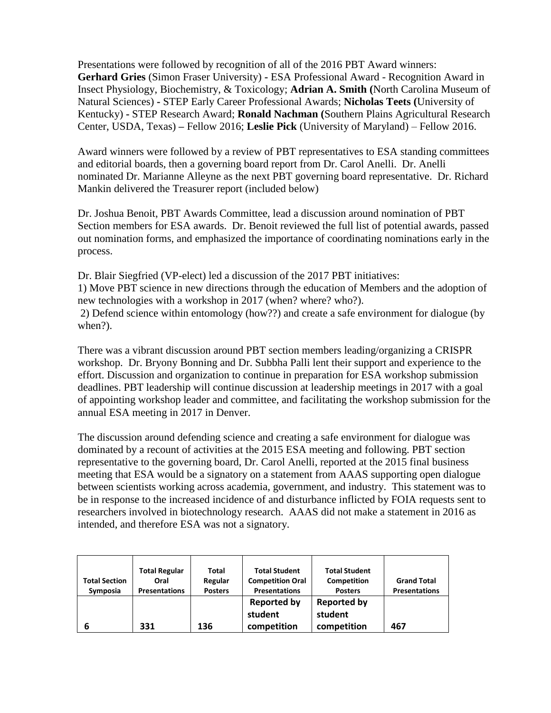Presentations were followed by recognition of all of the 2016 PBT Award winners: **Gerhard Gries** (Simon Fraser University) **-** ESA Professional Award - Recognition Award in Insect Physiology, Biochemistry, & Toxicology; **Adrian A. Smith (**North Carolina Museum of Natural Sciences) **-** STEP Early Career Professional Awards; **Nicholas Teets (**University of Kentucky) **-** STEP Research Award; **Ronald Nachman (**Southern Plains Agricultural Research Center, USDA, Texas) **–** Fellow 2016; **Leslie Pick** (University of Maryland) – Fellow 2016.

Award winners were followed by a review of PBT representatives to ESA standing committees and editorial boards, then a governing board report from Dr. Carol Anelli. Dr. Anelli nominated Dr. Marianne Alleyne as the next PBT governing board representative. Dr. Richard Mankin delivered the Treasurer report (included below)

Dr. Joshua Benoit, PBT Awards Committee, lead a discussion around nomination of PBT Section members for ESA awards. Dr. Benoit reviewed the full list of potential awards, passed out nomination forms, and emphasized the importance of coordinating nominations early in the process.

Dr. Blair Siegfried (VP-elect) led a discussion of the 2017 PBT initiatives:

1) Move PBT science in new directions through the education of Members and the adoption of new technologies with a workshop in 2017 (when? where? who?).

2) Defend science within entomology (how??) and create a safe environment for dialogue (by when?).

There was a vibrant discussion around PBT section members leading/organizing a CRISPR workshop. Dr. Bryony Bonning and Dr. Subbha Palli lent their support and experience to the effort. Discussion and organization to continue in preparation for ESA workshop submission deadlines. PBT leadership will continue discussion at leadership meetings in 2017 with a goal of appointing workshop leader and committee, and facilitating the workshop submission for the annual ESA meeting in 2017 in Denver.

The discussion around defending science and creating a safe environment for dialogue was dominated by a recount of activities at the 2015 ESA meeting and following. PBT section representative to the governing board, Dr. Carol Anelli, reported at the 2015 final business meeting that ESA would be a signatory on a statement from AAAS supporting open dialogue between scientists working across academia, government, and industry. This statement was to be in response to the increased incidence of and disturbance inflicted by FOIA requests sent to researchers involved in biotechnology research. AAAS did not make a statement in 2016 as intended, and therefore ESA was not a signatory.

| <b>Total Section</b><br>Symposia | <b>Total Regular</b><br>Oral<br><b>Presentations</b> | <b>Total</b><br>Regular<br><b>Posters</b> | <b>Total Student</b><br><b>Competition Oral</b><br><b>Presentations</b> | <b>Total Student</b><br><b>Competition</b><br><b>Posters</b> | <b>Grand Total</b><br><b>Presentations</b> |
|----------------------------------|------------------------------------------------------|-------------------------------------------|-------------------------------------------------------------------------|--------------------------------------------------------------|--------------------------------------------|
| 6                                | 331                                                  | 136                                       | <b>Reported by</b><br>student<br>competition                            | <b>Reported by</b><br>student<br>competition                 | 467                                        |